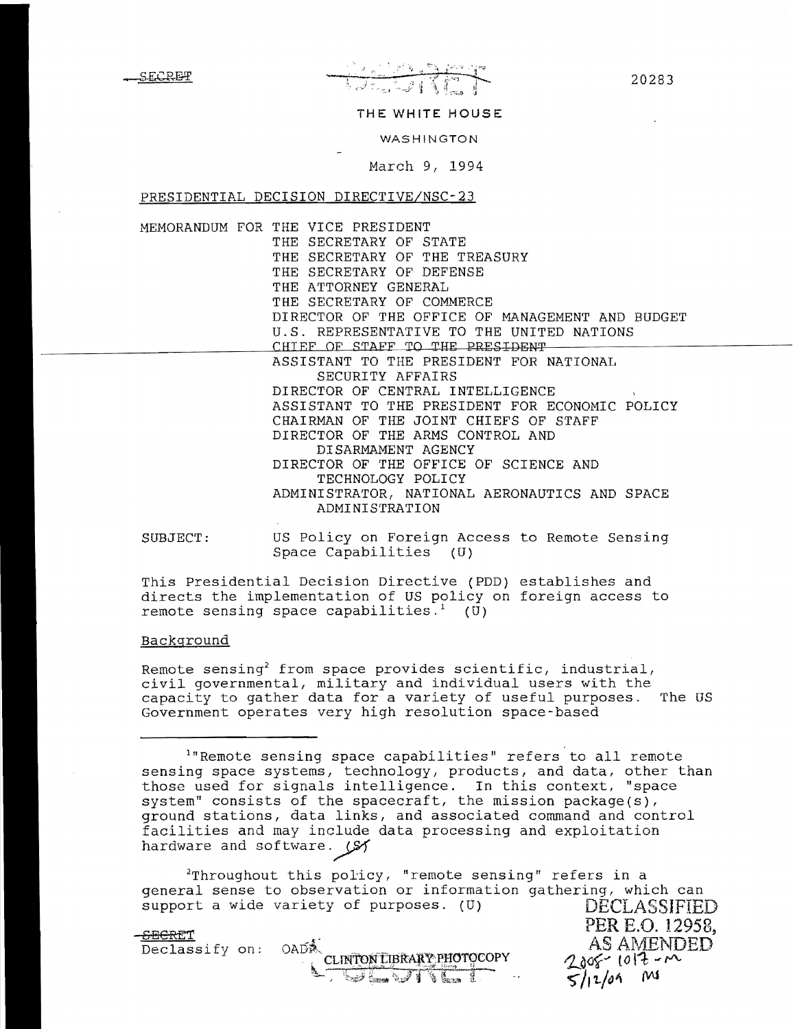20283

#### THE WHITE HOUSE

WASHINGTON

March 9, 1994

PRESIDENTIAL DECISION DIRECTIVE/NSC-23

MEMORANDUM FOR THE VICE PRESIDENT THE SECRETARY OF STATE THE SECRETARY OF THE TREASURY THE SECRETARY OF DEFENSE THE ATTORNEY GENERAL THE SECRETARY OF COMMERCE DIRECTOR OF THE OFFICE OF MANAGEMENT AND BUDGET U.S. REPRESENTATIVE TO THE UNITED NATIONS CHIEF OF STAFF TO THE PRESIDENT ASSISTANT TO THE PRESIDENT FOR NATIONAL SECURITY AFFAIRS DIRECTOR OF CENTRAL INTELLIGENCE ASSISTANT TO THE PRESIDENT FOR ECONOMIC POLICY CHAIRMAN OF THE JOINT CHIEFS OF STAFF DIRECTOR OF THE ARMS CONTROL AND DISARMAMENT AGENCY DIRECTOR OF THE OFFICE OF SCIENCE AND TECHNOLOGY POLICY ADMINISTRATOR, NATIONAL AERONAUTICS AND SPACE ADMINISTRATION

SUBJECT: US Policy on Foreign Access to Remote Sensing Space Capabilities (U)

This Presidential Decision Directive (PDD) establishes and directs the implementation of US policy on foreign access to remote sensing space capabilities.<sup>1</sup> ( $\overline{0}$ )

## Background

Remote sensing<sup>2</sup> from space provides scientific, industrial, civil governmental, military and individual users with the capacity to gather data for a variety of useful purposes. The OS Government operates very high resolution space-based

 $1$ "Remote sensing space capabilities" refers to all remote sensing space systems, technology, products, and data, other than those used for signals intelligence. In this context, "space system" consists of the spacecraft, the mission package(s}, ground stations, data links, and associated command and control facilities and may include data processing and exploitation hardware and software.  $(S)$ 

 $2$ Throughout this policy, "remote sensing" refers in a general sense to observation or information gathering, which can support a wide variety of purposes. (U) DECLASSIFIED

|                                      |      |                                   |                                     | PER E.O. 12958,    |
|--------------------------------------|------|-----------------------------------|-------------------------------------|--------------------|
| <del>SECRE</del> T<br>Declassify on: | OADÂ |                                   |                                     | AS AMENDED         |
|                                      |      | CLINTON LIBRARY PHOTOCOPY         |                                     | $2005 - 1012 - 10$ |
|                                      |      | <b>RAVEST</b><br><b>Call Came</b> | $5/12/04$ M<br>$\ddot{\phantom{0}}$ |                    |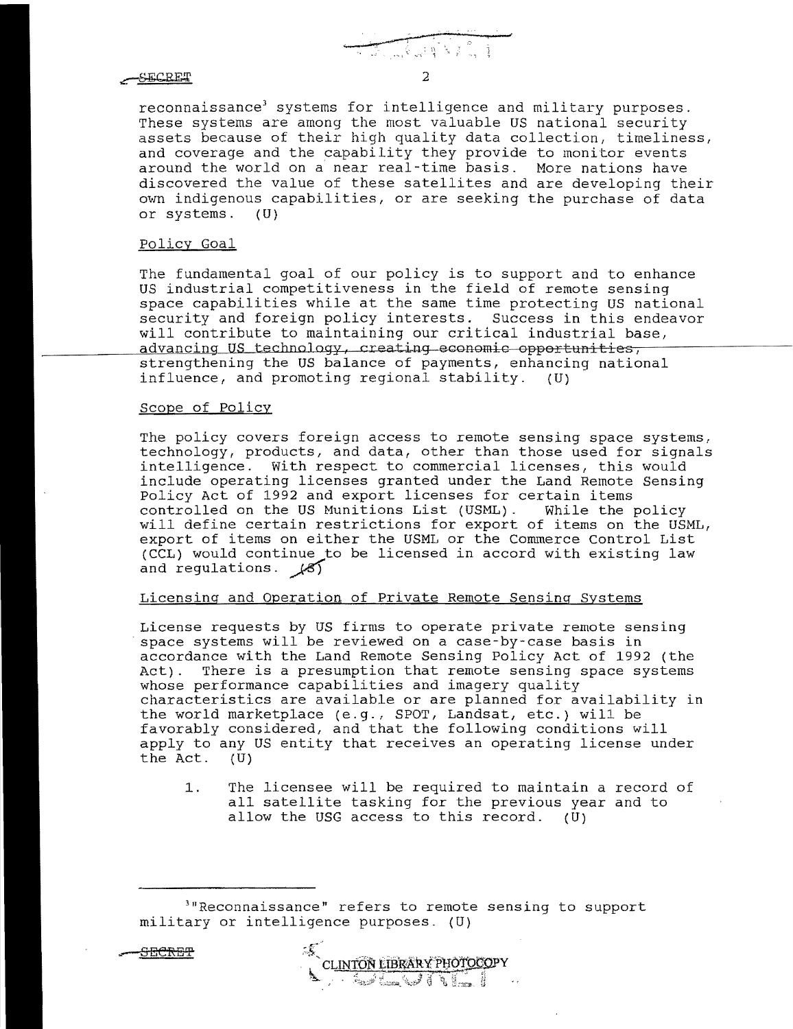# -SECRET

reconnaissance<sup>3</sup> systems for intelligence and military purposes. These systems are among the most valuable US national security assets because of their high quality data collection, timeliness, and coverage and the capability they provide to monitor events around the world on a near real-time basis. More nations have discovered the value of these satellites and are developing their own indigenous capabilities, or are seeking the purchase of data or systems. (U)

#### Policy Goal

The fundamental goal of our policy is to support and to enhance US industrial competitiveness in the field of remote sensing space capabilities while at the same time protecting US national security and foreign policy interests. Success in this endeavor will contribute to maintaining our critical industrial base, advancing US technology, creating economic opportunities, strengthening the US balance of payments, enhancing national influence, and promoting regional stability. (U)

## Scope of Policy

The policy covers foreign access to remote sensing space systems, technology, products, and data, other than those used for signals intelligence. With respect to commercial licenses, this would include operating licenses granted under the Land Remote Sensing Policy Act of 1992 and export licenses for certain items controlled on the US Munitions List (USML). While the policy will define certain restrictions for export of items on the USML, export of items on either the USML or the Commerce Control List (CCL) would continue to be licensed in accord with existing law and regulations.  $\sqrt{5}$ 

## Licensing and Operation of Private Remote Sensing Systems

License requests by US firms to operate private remote sensing space systems will be reviewed on a case-by-case basis in accordance with the Land Remote Sensing Policy Act of 1992 (the Act). There is a presumption that remote sensing space systems whose performance capabilities and imagery quality characteristics are available or are planned for availability in the world marketplace (e.g., SPOT, Landsat, etc.) will be favorably considered, and that the following conditions will apply to any US entity that receives an operating license under<br>the Act. (U) the Act.

1. The licensee will be required to maintain a record of all satellite tasking for the previous year and to allow the USG access to this record.  $(U)$ 

>"Reconnaissance" refers to remote sensing to support military or intelligence purposes. (U)

**SECRET** 

**RETAINED** 2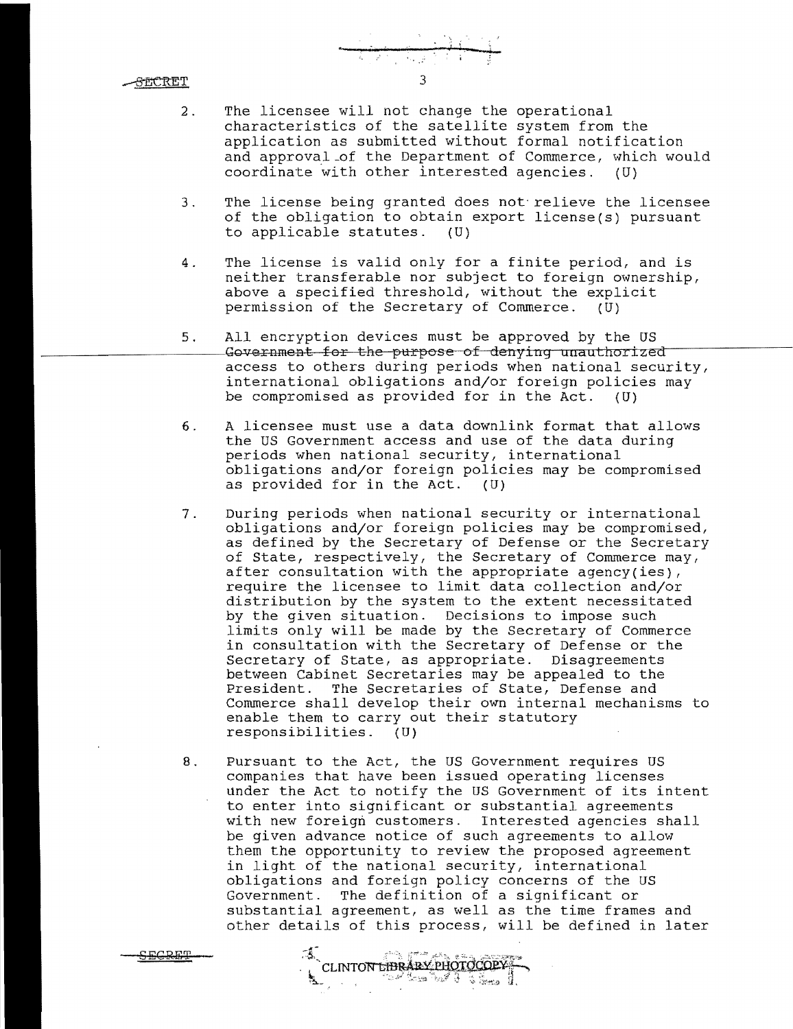SECRET

<u>CECRET</u>

2. The licensee will not change the operational characteristics of the satellite system from the application as submitted without formal notification and approval\_of the Department of Commerce, which would coordinate with other interested agencies.  $(U)$ 

3

- 3. The license being granted does not-relieve the licensee of the obligation to obtain export license(s) pursuant to applicable statutes. (U)
- 4. The license is valid only for a finite period, and is neither transferable nor subject to foreign ownership, above a specified threshold, without the explicit permission of the Secretary of Commerce. (U)
- 5. All encryption devices must be approved by the US<br>Government for the purpose of denying unauthorized access to others during periods when national security, international obligations and/or foreign policies may be compromised as provided for in the Act. (U)
- 6. A licensee must use a data downlink format that allows the US Government access and use of the data during periods when national security, international obligations and/or foreign policies may be compromised as provided for in the Act.
- 7. During periods when national security or international obligations and/or foreign policies may be compromised, as defined by the Secretary of Defense or the Secretary of State, respectively, the Secretary of Commerce may, after consultation with the appropriate agency(ies), require the licensee to limit data collection and/or distribution by the system to the extent necessitated by the given situation. Decisions to impose such limits only will be made by the Secretary of Commerce in consultation with the Secretary of Defense or the Secretary of State, as appropriate. Disagreements between Cabinet Secretaries may be appealed to the President. The Secretaries of State, Defense and Commerce shall develop their own internal mechanisms to enable them to carry out their statutory responsibilities. (U)
- 8. Pursuant to the Act, the US Government requires US companies that have been issued operating licenses under the Act to notify the US Government of its intent to enter into significant or substantial agreements with new foreign customers. Interested agencies shall be given advance notice of such agreements to allow them the opportunity to review the proposed agreement in light of the national security, international obligations and foreign policy concerns of the US Government. The definition of a significant or substantial agreement, as well as the time frames and other details of this process, will be defined in later

CLINTON LIBRARY PHOTOCOPY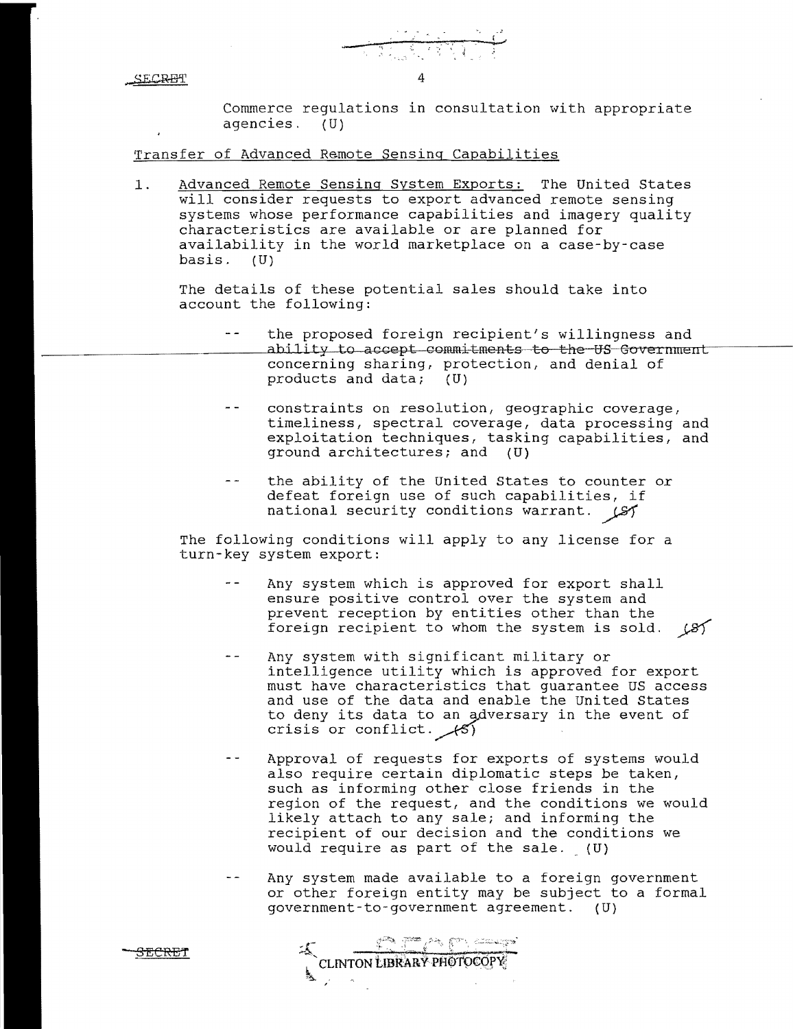**SECRET** 

Commerce regulations in consultation with appropriate agencies. (U)

Transfer of Advanced Remote Sensing Capabilities

1. Advanced Remote Sensing System Exports: The United States will consider requests to export advanced remote sensing systems whose performance capabilities and imagery quality characteristics are available or are planned for availability in the world marketplace on a case-by-case basis. (U)

4

The details of these potential sales should take into account the following:

- $\omega/\omega$ the proposed foreign recipient's willingness and ability to accept commitments to the US Government concerning sharing, protection, and denial of products and data; (U)
- $\sim$   $\sim$ constraints on resolution, geographic coverage, timeliness, spectral coverage, data processing and exploitation techniques, tasking capabilities, and ground architectures; and (U)
- $\equiv$   $\sim$ the ability of the United States to counter or defeat foreign use of such capabilities, if national security conditions warrant.  $\mathcal{L}$

The following conditions will apply to any license for a turn-key system export:

- $\sim$   $\sim$ Any system which is approved for export shall ensure positive control over the system and prevent reception by entities other than the foreign recipient to whom the system is sold.  $(8)$
- Any system with significant military or intelligence utility which is approved for export must have characteristics that guarantee US access and use of the data and enable the United States to deny its data to an adversary in the event of crisis or conflict.  $\angle$ (5)
- $\omega_{\rm c}$   $\omega$ Approval of requests for exports of systems would also require certain diplomatic steps be taken, such as informing other close friends in the region of the request, and the conditions we would likely attach to any sale; and informing the recipient of our decision and the conditions we would require as part of the sale. (U)
- $\sim$   $\sim$ Any system made available to a foreign government or other foreign entity may be subject to a formal government-to-government agreement. (U)

::..!::i;;':'~~:C~ c:+, CT';;:~":L: - S~eR:E" ~'CLINTON tJBRARYPfIth\)€QP~;

"h.